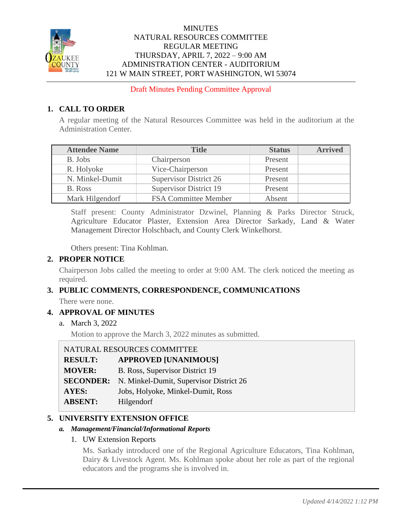

## **MINUTES** NATURAL RESOURCES COMMITTEE REGULAR MEETING THURSDAY, APRIL 7, 2022 – 9:00 AM ADMINISTRATION CENTER - AUDITORIUM 121 W MAIN STREET, PORT WASHINGTON, WI 53074

Draft Minutes Pending Committee Approval

# **1. CALL TO ORDER**

A regular meeting of the Natural Resources Committee was held in the auditorium at the Administration Center.

| <b>Attendee Name</b> | <b>Title</b>                  | <b>Status</b> | <b>Arrived</b> |
|----------------------|-------------------------------|---------------|----------------|
| B. Jobs              | Chairperson                   | Present       |                |
| R. Holyoke           | Vice-Chairperson              | Present       |                |
| N. Minkel-Dumit      | <b>Supervisor District 26</b> | Present       |                |
| B. Ross              | <b>Supervisor District 19</b> | Present       |                |
| Mark Hilgendorf      | <b>FSA Committee Member</b>   | Absent        |                |

Staff present: County Administrator Dzwinel, Planning & Parks Director Struck, Agriculture Educator Plaster, Extension Area Director Sarkady, Land & Water Management Director Holschbach, and County Clerk Winkelhorst.

Others present: Tina Kohlman.

## **2. PROPER NOTICE**

Chairperson Jobs called the meeting to order at 9:00 AM. The clerk noticed the meeting as required.

## **3. PUBLIC COMMENTS, CORRESPONDENCE, COMMUNICATIONS**

There were none.

## **4. APPROVAL OF MINUTES**

a. March 3, 2022

Motion to approve the March 3, 2022 minutes as submitted.

## NATURAL RESOURCES COMMITTEE

| <b>RESULT:</b> | <b>APPROVED [UNANIMOUS]</b>                              |
|----------------|----------------------------------------------------------|
| <b>MOVER:</b>  | B. Ross, Supervisor District 19                          |
|                | <b>SECONDER:</b> N. Minkel-Dumit, Supervisor District 26 |
| AYES:          | Jobs, Holyoke, Minkel-Dumit, Ross                        |
| <b>ABSENT:</b> | Hilgendorf                                               |

## **5. UNIVERSITY EXTENSION OFFICE**

## *a. Management/Financial/Informational Reports*

## 1. UW Extension Reports

Ms. Sarkady introduced one of the Regional Agriculture Educators, Tina Kohlman, Dairy & Livestock Agent. Ms. Kohlman spoke about her role as part of the regional educators and the programs she is involved in.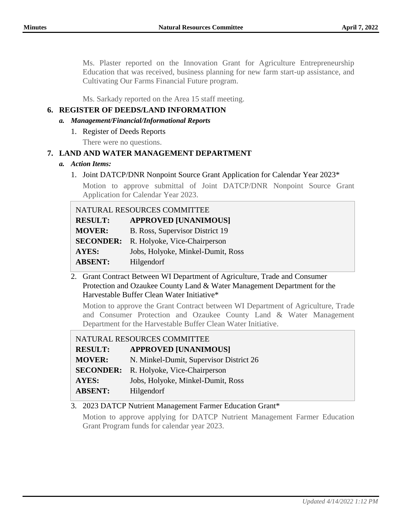Ms. Plaster reported on the Innovation Grant for Agriculture Entrepreneurship Education that was received, business planning for new farm start-up assistance, and Cultivating Our Farms Financial Future program.

Ms. Sarkady reported on the Area 15 staff meeting.

## **6. REGISTER OF DEEDS/LAND INFORMATION**

- *a. Management/Financial/Informational Reports*
	- 1. Register of Deeds Reports

There were no questions.

## **7. LAND AND WATER MANAGEMENT DEPARTMENT**

- *a. Action Items:*
	- 1. Joint DATCP/DNR Nonpoint Source Grant Application for Calendar Year 2023\*

Motion to approve submittal of Joint DATCP/DNR Nonpoint Source Grant Application for Calendar Year 2023.

| NATURAL RESOURCES COMMITTEE |                                   |
|-----------------------------|-----------------------------------|
| <b>RESULT:</b>              | <b>APPROVED [UNANIMOUS]</b>       |
| <b>MOVER:</b>               | B. Ross, Supervisor District 19   |
| <b>SECONDER:</b>            | R. Holyoke, Vice-Chairperson      |
| <b>AYES:</b>                | Jobs, Holyoke, Minkel-Dumit, Ross |
| <b>ABSENT:</b>              | Hilgendorf                        |

2. Grant Contract Between WI Department of Agriculture, Trade and Consumer Protection and Ozaukee County Land & Water Management Department for the Harvestable Buffer Clean Water Initiative\*

Motion to approve the Grant Contract between WI Department of Agriculture, Trade and Consumer Protection and Ozaukee County Land & Water Management Department for the Harvestable Buffer Clean Water Initiative.

| NATURAL RESOURCES COMMITTEE |                                         |
|-----------------------------|-----------------------------------------|
| <b>RESULT:</b>              | <b>APPROVED [UNANIMOUS]</b>             |
| <b>MOVER:</b>               | N. Minkel-Dumit, Supervisor District 26 |
| <b>SECONDER:</b>            | R. Holyoke, Vice-Chairperson            |
| <b>AYES:</b>                | Jobs, Holyoke, Minkel-Dumit, Ross       |
| <b>ABSENT:</b>              | Hilgendorf                              |

## 3. 2023 DATCP Nutrient Management Farmer Education Grant\*

Motion to approve applying for DATCP Nutrient Management Farmer Education Grant Program funds for calendar year 2023.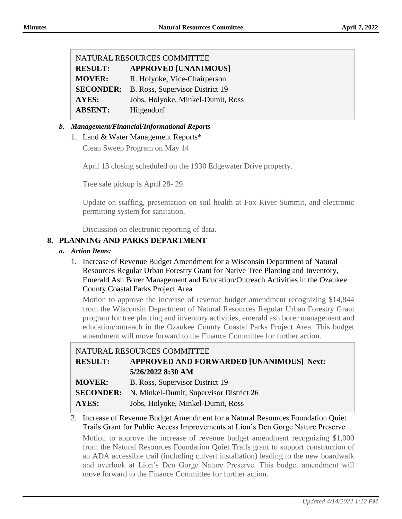| NATURAL RESOURCES COMMITTEE |                                   |  |
|-----------------------------|-----------------------------------|--|
| <b>RESULT:</b>              | <b>APPROVED [UNANIMOUS]</b>       |  |
| <b>MOVER:</b>               | R. Holyoke, Vice-Chairperson      |  |
| <b>SECONDER:</b>            | B. Ross, Supervisor District 19   |  |
| <b>AYES:</b>                | Jobs, Holyoke, Minkel-Dumit, Ross |  |
| <b>ABSENT:</b>              | Hilgendorf                        |  |
|                             |                                   |  |

## *b. Management/Financial/Informational Reports*

## 1. Land & Water Management Reports\*

Clean Sweep Program on May 14.

April 13 closing scheduled on the 1930 Edgewater Drive property.

Tree sale pickup is April 28- 29.

Update on staffing, presentation on soil health at Fox River Summit, and electronic permitting system for sanitation.

Discussion on electronic reporting of data.

## **8. PLANNING AND PARKS DEPARTMENT**

#### *a. Action Items:*

1. Increase of Revenue Budget Amendment for a Wisconsin Department of Natural Resources Regular Urban Forestry Grant for Native Tree Planting and Inventory, Emerald Ash Borer Management and Education/Outreach Activities in the Ozaukee County Coastal Parks Project Area

Motion to approve the increase of revenue budget amendment recognizing \$14,844 from the Wisconsin Department of Natural Resources Regular Urban Forestry Grant program for tree planting and inventory activities, emerald ash borer management and education/outreach in the Ozaukee County Coastal Parks Project Area. This budget amendment will move forward to the Finance Committee for further action.

| NATURAL RESOURCES COMMITTEE |                                                          |
|-----------------------------|----------------------------------------------------------|
| <b>RESULT:</b>              | APPROVED AND FORWARDED [UNANIMOUS] Next:                 |
|                             | 5/26/2022 8:30 AM                                        |
| <b>MOVER:</b>               | B. Ross, Supervisor District 19                          |
|                             | <b>SECONDER:</b> N. Minkel-Dumit, Supervisor District 26 |
| AYES:                       | Jobs, Holyoke, Minkel-Dumit, Ross                        |

#### 2. Increase of Revenue Budget Amendment for a Natural Resources Foundation Quiet Trails Grant for Public Access Improvements at Lion's Den Gorge Nature Preserve

Motion to approve the increase of revenue budget amendment recognizing \$1,000 from the Natural Resources Foundation Quiet Trails grant to support construction of an ADA accessible trail (including culvert installation) leading to the new boardwalk and overlook at Lion's Den Gorge Nature Preserve. This budget amendment will move forward to the Finance Committee for further action.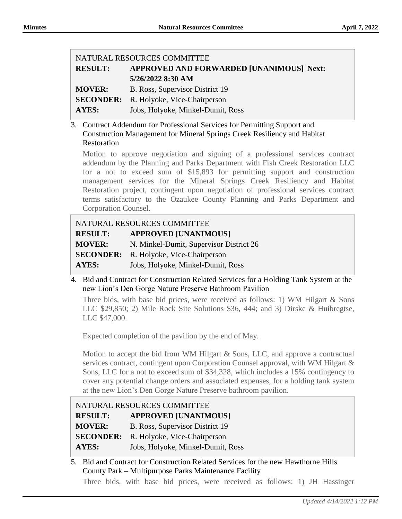| NATURAL RESOURCES COMMITTEE |                                               |  |
|-----------------------------|-----------------------------------------------|--|
| <b>RESULT:</b>              | APPROVED AND FORWARDED [UNANIMOUS] Next:      |  |
|                             | 5/26/2022 8:30 AM                             |  |
| <b>MOVER:</b>               | B. Ross, Supervisor District 19               |  |
|                             | <b>SECONDER:</b> R. Holyoke, Vice-Chairperson |  |
| <b>AYES:</b>                | Jobs, Holyoke, Minkel-Dumit, Ross             |  |

3. Contract Addendum for Professional Services for Permitting Support and Construction Management for Mineral Springs Creek Resiliency and Habitat Restoration

Motion to approve negotiation and signing of a professional services contract addendum by the Planning and Parks Department with Fish Creek Restoration LLC for a not to exceed sum of \$15,893 for permitting support and construction management services for the Mineral Springs Creek Resiliency and Habitat Restoration project, contingent upon negotiation of professional services contract terms satisfactory to the Ozaukee County Planning and Parks Department and Corporation Counsel.

| NATURAL RESOURCES COMMITTEE |                                               |  |
|-----------------------------|-----------------------------------------------|--|
| <b>RESULT:</b>              | <b>APPROVED [UNANIMOUS]</b>                   |  |
| <b>MOVER:</b>               | N. Minkel-Dumit, Supervisor District 26       |  |
|                             | <b>SECONDER:</b> R. Holyoke, Vice-Chairperson |  |
| AYES:                       | Jobs, Holyoke, Minkel-Dumit, Ross             |  |

4. Bid and Contract for Construction Related Services for a Holding Tank System at the new Lion's Den Gorge Nature Preserve Bathroom Pavilion

Three bids, with base bid prices, were received as follows: 1) WM Hilgart & Sons LLC \$29,850; 2) Mile Rock Site Solutions \$36, 444; and 3) Dirske & Huibregtse, LLC \$47,000.

Expected completion of the pavilion by the end of May.

Motion to accept the bid from WM Hilgart & Sons, LLC, and approve a contractual services contract, contingent upon Corporation Counsel approval, with WM Hilgart & Sons, LLC for a not to exceed sum of \$34,328, which includes a 15% contingency to cover any potential change orders and associated expenses, for a holding tank system at the new Lion's Den Gorge Nature Preserve bathroom pavilion.

| NATURAL RESOURCES COMMITTEE |                                   |
|-----------------------------|-----------------------------------|
| <b>RESULT:</b>              | <b>APPROVED [UNANIMOUS]</b>       |
| <b>MOVER:</b>               | B. Ross, Supervisor District 19   |
| <b>SECONDER:</b>            | R. Holyoke, Vice-Chairperson      |
| AYES:                       | Jobs, Holyoke, Minkel-Dumit, Ross |

5. Bid and Contract for Construction Related Services for the new Hawthorne Hills County Park – Multipurpose Parks Maintenance Facility

Three bids, with base bid prices, were received as follows: 1) JH Hassinger